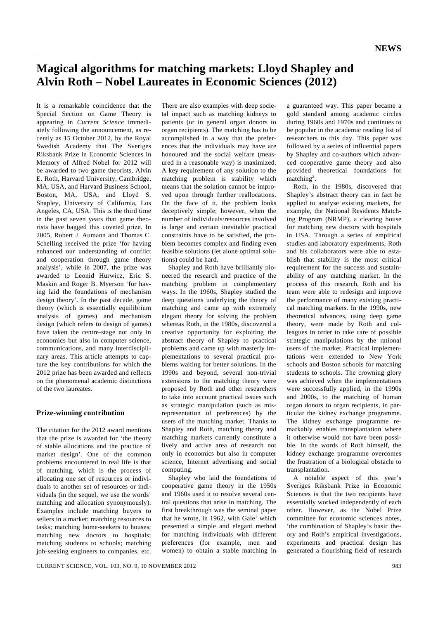## **Magical algorithms for matching markets: Lloyd Shapley and Alvin Roth – Nobel Laureates in Economic Sciences (2012)**

It is a remarkable coincidence that the Special Section on Game Theory is appearing in *Current Science* immediately following the announcement, as recently as 15 October 2012, by the Royal Swedish Academy that The Sveriges Riksbank Prize in Economic Sciences in Memory of Alfred Nobel for 2012 will be awarded to two game theorists, Alvin E. Roth, Harvard University, Cambridge, MA, USA, and Harvard Business School, Boston, MA, USA, and Lloyd S. Shapley, University of California, Los Angeles, CA, USA. This is the third time in the past seven years that game theorists have bagged this coveted prize. In 2005, Robert J. Aumann and Thomas C. Schelling received the prize 'for having enhanced our understanding of conflict and cooperation through game theory analysis', while in 2007, the prize was awarded to Leonid Hurwicz, Eric S. Maskin and Roger B. Myerson 'for having laid the foundations of mechanism design theory'. In the past decade, game theory (which is essentially equilibrium analysis of games) and mechanism design (which refers to design of games) have taken the centre-stage not only in economics but also in computer science, communications, and many interdisciplinary areas. This article attempts to capture the key contributions for which the 2012 prize has been awarded and reflects on the phenomenal academic distinctions of the two laureates.

### **Prize-winning contribution**

The citation for the 2012 award mentions that the prize is awarded for 'the theory of stable allocations and the practice of market design'*.* One of the common problems encountered in real life is that of matching, which is the process of allocating one set of resources or individuals to another set of resources or individuals (in the sequel, we use the words' matching and allocation synonymously). Examples include matching buyers to sellers in a market; matching resources to tasks; matching home-seekers to houses; matching new doctors to hospitals; matching students to schools; matching job-seeking engineers to companies, etc. There are also examples with deep societal impact such as matching kidneys to patients (or in general organ donors to organ recipients). The matching has to be accomplished in a way that the preferences that the individuals may have are honoured and the social welfare (measured in a reasonable way) is maximized. A key requirement of any solution to the matching problem is stability which means that the solution cannot be improved upon through further reallocations. On the face of it, the problem looks deceptively simple; however, when the number of individuals/resources involved is large and certain inevitable practical constraints have to be satisfied, the problem becomes complex and finding even feasible solutions (let alone optimal solutions) could be hard.

 Shapley and Roth have brilliantly pioneered the research and practice of the matching problem in complementary ways. In the 1960s, Shapley studied the deep questions underlying the theory of matching and came up with extremely elegant theory for solving the problem whereas Roth, in the 1980s, discovered a creative opportunity for exploiting the abstract theory of Shapley to practical problems and came up with masterly implementations to several practical problems waiting for better solutions. In the 1990s and beyond, several non-trivial extensions to the matching theory were proposed by Roth and other researchers to take into account practical issues such as strategic manipulation (such as misrepresentation of preferences) by the users of the matching market. Thanks to Shapley and Roth, matching theory and matching markets currently constitute a lively and active area of research not only in economics but also in computer science, Internet advertising and social computing.

 Shapley who laid the foundations of cooperative game theory in the 1950s and 1960s used it to resolve several central questions that arise in matching. The first breakthrough was the seminal paper that he wrote, in 1962, with Gale<sup>1</sup> which presented a simple and elegant method for matching individuals with different preferences (for example, men and women) to obtain a stable matching in

a guaranteed way. This paper became a gold standard among academic circles during 1960s and 1970s and continues to be popular in the academic reading list of researchers to this day. This paper was followed by a series of influential papers by Shapley and co-authors which advanced cooperative game theory and also provided theoretical foundations for  $matching<sup>2</sup>$ .

 Roth, in the 1980s, discovered that Shapley's abstract theory can in fact be applied to analyse existing markets, for example, the National Residents Matching Program (NRMP), a clearing house for matching new doctors with hospitals in USA. Through a series of empirical studies and laboratory experiments, Roth and his collaborators were able to establish that stability is the most critical requirement for the success and sustainability of any matching market. In the process of this research, Roth and his team were able to redesign and improve the performance of many existing practical matching markets. In the 1990s, new theoretical advances, using deep game theory, were made by Roth and colleagues in order to take care of possible strategic manipulations by the rational users of the market. Practical implementations were extended to New York schools and Boston schools for matching students to schools. The crowning glory was achieved when the implementations were successfully applied, in the 1990s and 2000s, to the matching of human organ donors to organ recipients, in particular the kidney exchange programme. The kidney exchange programme remarkably enables transplantation where it otherwise would not have been possible. In the words of Roth himself, the kidney exchange programme overcomes the frustration of a biological obstacle to transplantation.

 A notable aspect of this year's Sveriges Riksbank Prize in Economic Sciences is that the two recipients have essentially worked independently of each other. However, as the Nobel Prize committee for economic sciences notes, 'the combination of Shapley's basic theory and Roth's empirical investigations, experiments and practical design has generated a flourishing field of research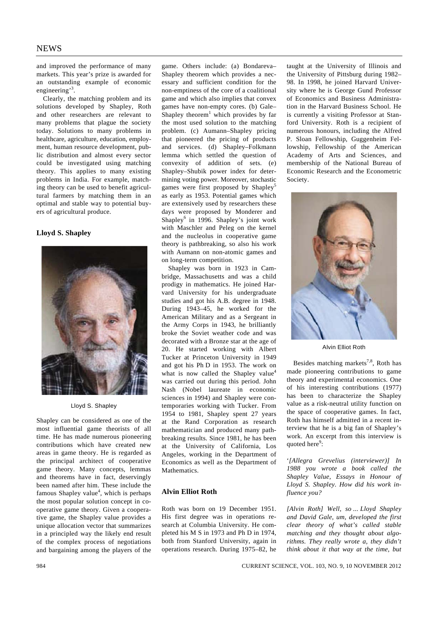and improved the performance of many markets. This year's prize is awarded for an outstanding example of economic engineering'<sup>3</sup>.

 Clearly, the matching problem and its solutions developed by Shapley, Roth and other researchers are relevant to many problems that plague the society today. Solutions to many problems in healthcare, agriculture, education, employment, human resource development, public distribution and almost every sector could be investigated using matching theory. This applies to many existing problems in India. For example, matching theory can be used to benefit agricultural farmers by matching them in an optimal and stable way to potential buyers of agricultural produce.

#### **Lloyd S. Shapley**



Lloyd S. Shapley

Shapley can be considered as one of the most influential game theorists of all time. He has made numerous pioneering contributions which have created new areas in game theory. He is regarded as the principal architect of cooperative game theory. Many concepts, lemmas and theorems have in fact, deservingly been named after him. These include the famous Shapley value<sup>4</sup>, which is perhaps the most popular solution concept in cooperative game theory. Given a cooperative game, the Shapley value provides a unique allocation vector that summarizes in a principled way the likely end result of the complex process of negotiations and bargaining among the players of the

Shapley theorem which provides a necessary and sufficient condition for the non-emptiness of the core of a coalitional game and which also implies that convex games have non-empty cores. (b) Gale– Shapley theorem<sup>1</sup> which provides by far the most used solution to the matching problem. (c) Aumann–Shapley pricing that pioneered the pricing of products and services. (d) Shapley–Folkmann lemma which settled the question of convexity of addition of sets. (e) Shapley–Shubik power index for determining voting power. Moreover, stochastic games were first proposed by Shapley<sup>5</sup> as early as 1953. Potential games which are extensively used by researchers these days were proposed by Monderer and Shapley<sup>6</sup> in 1996. Shapley's joint work with Maschler and Peleg on the kernel and the nucleolus in cooperative game theory is pathbreaking, so also his work with Aumann on non-atomic games and on long-term competition.

game. Others include: (a) Bondareva–

 Shapley was born in 1923 in Cambridge, Massachusetts and was a child prodigy in mathematics. He joined Harvard University for his undergraduate studies and got his A.B. degree in 1948. During 1943–45, he worked for the American Military and as a Sergeant in the Army Corps in 1943, he brilliantly broke the Soviet weather code and was decorated with a Bronze star at the age of 20. He started working with Albert Tucker at Princeton University in 1949 and got his Ph D in 1953. The work on what is now called the Shapley value<sup>4</sup> was carried out during this period. John Nash (Nobel laureate in economic sciences in 1994) and Shapley were contemporaries working with Tucker. From 1954 to 1981, Shapley spent 27 years at the Rand Corporation as research mathematician and produced many pathbreaking results. Since 1981, he has been at the University of California, Los Angeles, working in the Department of Economics as well as the Department of Mathematics.

## **Alvin Elliot Roth**

Roth was born on 19 December 1951. His first degree was in operations research at Columbia University. He completed his M S in 1973 and Ph D in 1974, both from Stanford University, again in operations research. During 1975–82, he

taught at the University of Illinois and the University of Pittsburg during 1982– 98. In 1998, he joined Harvard University where he is George Gund Professor of Economics and Business Administration in the Harvard Business School. He is currently a visiting Professor at Stanford University. Roth is a recipient of numerous honours, including the Alfred P. Sloan Fellowship, Guggenheim Fellowship, Fellowship of the American Academy of Arts and Sciences, and membership of the National Bureau of Economic Research and the Econometric Society.



Alvin Elliot Roth

Besides matching markets<sup>7,8</sup>, Roth has made pioneering contributions to game theory and experimental economics. One of his interesting contributions (1977) has been to characterize the Shapley value as a risk-neutral utility function on the space of cooperative games. In fact, Roth has himself admitted in a recent interview that he is a big fan of Shapley's work. An excerpt from this interview is quoted here<sup>9</sup>:

'*[Allegra Grevelius (interviewer)] In 1988 you wrote a book called the Shapley Value, Essays in Honour of Lloyd S. Shapley. How did his work influence you?*

*[Alvin Roth] Well, so ... Lloyd Shapley and David Gale, um, developed the first clear theory of what's called stable matching and they thought about algorithms. They really wrote a, they didn't think about it that way at the time, but*